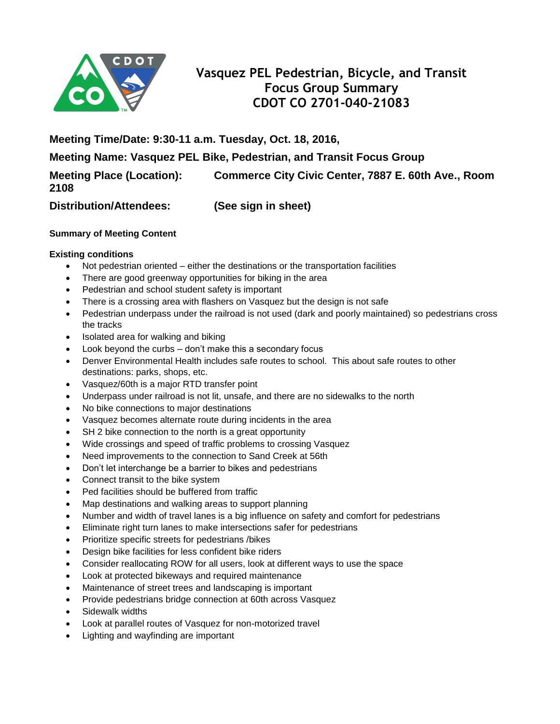

# **Vasquez PEL Pedestrian, Bicycle, and Transit Focus Group Summary CDOT CO 2701-040-21083**

**Meeting Time/Date: 9:30-11 a.m. Tuesday, Oct. 18, 2016,**

**Meeting Name: Vasquez PEL Bike, Pedestrian, and Transit Focus Group**

**Meeting Place (Location): Commerce City Civic Center, 7887 E. 60th Ave., Room** 

**2108**

**Distribution/Attendees: (See sign in sheet)**

# **Summary of Meeting Content**

# **Existing conditions**

- Not pedestrian oriented either the destinations or the transportation facilities
- There are good greenway opportunities for biking in the area
- Pedestrian and school student safety is important
- There is a crossing area with flashers on Vasquez but the design is not safe
- Pedestrian underpass under the railroad is not used (dark and poorly maintained) so pedestrians cross the tracks
- Isolated area for walking and biking
- Look beyond the curbs don't make this a secondary focus
- Denver Environmental Health includes safe routes to school. This about safe routes to other destinations: parks, shops, etc.
- Vasquez/60th is a major RTD transfer point
- Underpass under railroad is not lit, unsafe, and there are no sidewalks to the north
- No bike connections to major destinations
- Vasquez becomes alternate route during incidents in the area
- SH 2 bike connection to the north is a great opportunity
- Wide crossings and speed of traffic problems to crossing Vasquez
- Need improvements to the connection to Sand Creek at 56th
- Don't let interchange be a barrier to bikes and pedestrians
- Connect transit to the bike system
- Ped facilities should be buffered from traffic
- Map destinations and walking areas to support planning
- Number and width of travel lanes is a big influence on safety and comfort for pedestrians
- Eliminate right turn lanes to make intersections safer for pedestrians
- Prioritize specific streets for pedestrians /bikes
- Design bike facilities for less confident bike riders
- Consider reallocating ROW for all users, look at different ways to use the space
- Look at protected bikeways and required maintenance
- Maintenance of street trees and landscaping is important
- Provide pedestrians bridge connection at 60th across Vasquez
- Sidewalk widths
- Look at parallel routes of Vasquez for non-motorized travel
- Lighting and wayfinding are important